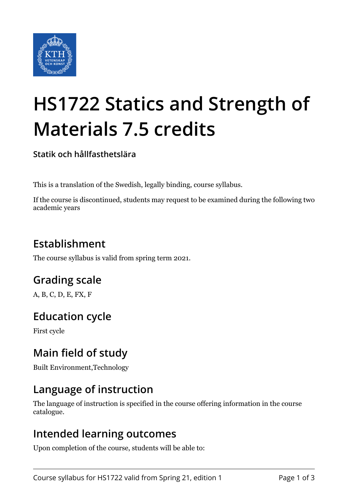

# **HS1722 Statics and Strength of Materials 7.5 credits**

**Statik och hållfasthetslära**

This is a translation of the Swedish, legally binding, course syllabus.

If the course is discontinued, students may request to be examined during the following two academic years

# **Establishment**

The course syllabus is valid from spring term 2021.

# **Grading scale**

A, B, C, D, E, FX, F

## **Education cycle**

First cycle

## **Main field of study**

Built Environment,Technology

#### **Language of instruction**

The language of instruction is specified in the course offering information in the course catalogue.

#### **Intended learning outcomes**

Upon completion of the course, students will be able to: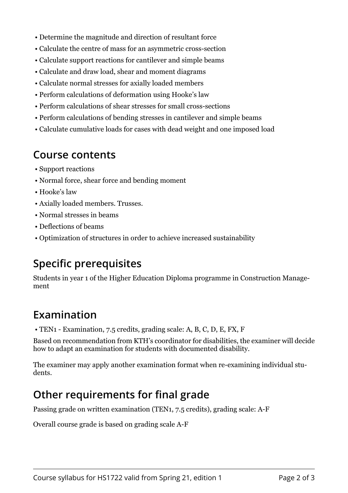- Determine the magnitude and direction of resultant force
- Calculate the centre of mass for an asymmetric cross-section
- Calculate support reactions for cantilever and simple beams
- Calculate and draw load, shear and moment diagrams
- Calculate normal stresses for axially loaded members
- Perform calculations of deformation using Hooke's law
- Perform calculations of shear stresses for small cross-sections
- Perform calculations of bending stresses in cantilever and simple beams
- Calculate cumulative loads for cases with dead weight and one imposed load

#### **Course contents**

- Support reactions
- Normal force, shear force and bending moment
- Hooke's law
- Axially loaded members. Trusses.
- Normal stresses in beams
- Deflections of beams
- Optimization of structures in order to achieve increased sustainability

#### **Specific prerequisites**

Students in year 1 of the Higher Education Diploma programme in Construction Management

#### **Examination**

• TEN1 - Examination, 7.5 credits, grading scale: A, B, C, D, E, FX, F

Based on recommendation from KTH's coordinator for disabilities, the examiner will decide how to adapt an examination for students with documented disability.

The examiner may apply another examination format when re-examining individual students.

#### **Other requirements for final grade**

Passing grade on written examination (TEN1, 7.5 credits), grading scale: A-F

Overall course grade is based on grading scale A-F